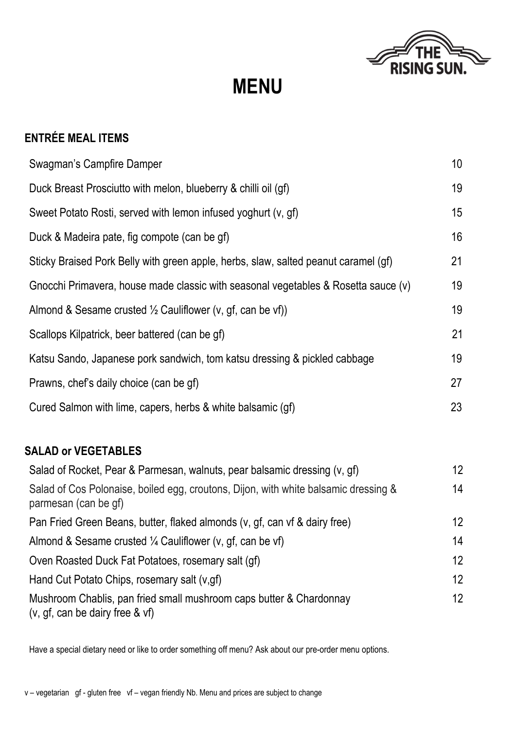

**MENU** 

| <b>ENTRÉE MEAL ITEMS</b>                                                                                    |    |
|-------------------------------------------------------------------------------------------------------------|----|
| Swagman's Campfire Damper                                                                                   | 10 |
| Duck Breast Prosciutto with melon, blueberry & chilli oil (gf)                                              | 19 |
| Sweet Potato Rosti, served with lemon infused yoghurt (v, gf)                                               | 15 |
| Duck & Madeira pate, fig compote (can be gf)                                                                | 16 |
| Sticky Braised Pork Belly with green apple, herbs, slaw, salted peanut caramel (gf)                         | 21 |
| Gnocchi Primavera, house made classic with seasonal vegetables & Rosetta sauce (v)                          | 19 |
| Almond & Sesame crusted $\frac{1}{2}$ Cauliflower (v, gf, can be vf))                                       | 19 |
| Scallops Kilpatrick, beer battered (can be gf)                                                              | 21 |
| Katsu Sando, Japanese pork sandwich, tom katsu dressing & pickled cabbage                                   | 19 |
| Prawns, chef's daily choice (can be gf)                                                                     | 27 |
| Cured Salmon with lime, capers, herbs & white balsamic (gf)                                                 | 23 |
| <b>SALAD or VEGETABLES</b>                                                                                  |    |
| Salad of Rocket, Pear & Parmesan, walnuts, pear balsamic dressing (v, gf)                                   | 12 |
| Salad of Cos Polonaise, boiled egg, croutons, Dijon, with white balsamic dressing &<br>parmesan (can be gf) | 14 |
| Pan Fried Green Beans, butter, flaked almonds (v, gf, can vf & dairy free)                                  | 12 |
| Almond & Sesame crusted $\frac{1}{4}$ Cauliflower (v, gf, can be vf)                                        | 14 |
| Oven Roasted Duck Fat Potatoes, rosemary salt (gf)                                                          | 12 |
| Hand Cut Potato Chips, rosemary salt (v,gf)                                                                 | 12 |
| Mushroom Chablis, pan fried small mushroom caps butter & Chardonnay<br>$(v, gf, can be dairy free 8 v f)$   | 12 |

Have a special dietary need or like to order something off menu? Ask about our pre-order menu options.